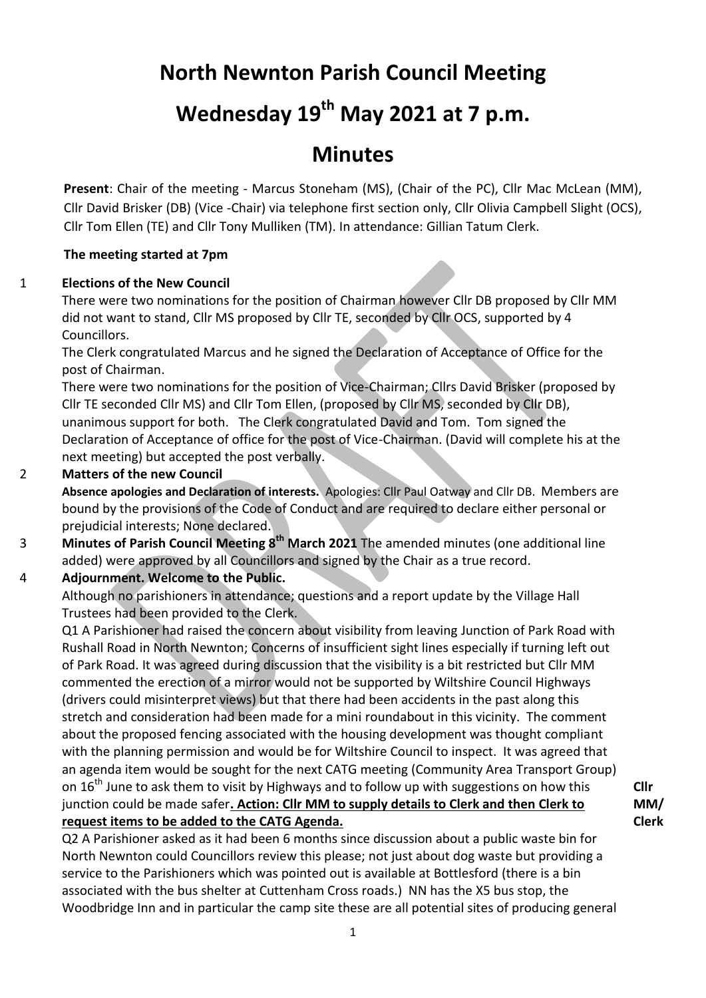# **North Newnton Parish Council Meeting**

# **Wednesday 19th May 2021 at 7 p.m.**

# **Minutes**

**Present**: Chair of the meeting - Marcus Stoneham (MS), (Chair of the PC), Cllr Mac McLean (MM), Cllr David Brisker (DB) (Vice -Chair) via telephone first section only, Cllr Olivia Campbell Slight (OCS), Cllr Tom Ellen (TE) and Cllr Tony Mulliken (TM). In attendance: Gillian Tatum Clerk.

### **The meeting started at 7pm**

### 1 **Elections of the New Council**

There were two nominations for the position of Chairman however Cllr DB proposed by Cllr MM did not want to stand, Cllr MS proposed by Cllr TE, seconded by Cllr OCS, supported by 4 Councillors.

The Clerk congratulated Marcus and he signed the Declaration of Acceptance of Office for the post of Chairman.

There were two nominations for the position of Vice-Chairman; Cllrs David Brisker (proposed by Cllr TE seconded Cllr MS) and Cllr Tom Ellen, (proposed by Cllr MS, seconded by Cllr DB), unanimous support for both. The Clerk congratulated David and Tom. Tom signed the Declaration of Acceptance of office for the post of Vice-Chairman. (David will complete his at the next meeting) but accepted the post verbally.

#### 2 **Matters of the new Council**

**Absence apologies and Declaration of interests.** Apologies: Cllr Paul Oatway and Cllr DB. Members are bound by the provisions of the Code of Conduct and are required to declare either personal or prejudicial interests; None declared.

3 **Minutes of Parish Council Meeting 8 th March 2021** The amended minutes (one additional line added) were approved by all Councillors and signed by the Chair as a true record.

### 4 **Adjournment. Welcome to the Public.**

Although no parishioners in attendance; questions and a report update by the Village Hall Trustees had been provided to the Clerk.

Q1 A Parishioner had raised the concern about visibility from leaving Junction of Park Road with Rushall Road in North Newnton; Concerns of insufficient sight lines especially if turning left out of Park Road. It was agreed during discussion that the visibility is a bit restricted but Cllr MM commented the erection of a mirror would not be supported by Wiltshire Council Highways (drivers could misinterpret views) but that there had been accidents in the past along this stretch and consideration had been made for a mini roundabout in this vicinity. The comment about the proposed fencing associated with the housing development was thought compliant with the planning permission and would be for Wiltshire Council to inspect. It was agreed that an agenda item would be sought for the next CATG meeting (Community Area Transport Group) on  $16<sup>th</sup>$  June to ask them to visit by Highways and to follow up with suggestions on how this junction could be made safer**. Action: Cllr MM to supply details to Clerk and then Clerk to request items to be added to the CATG Agenda.**

Q2 A Parishioner asked as it had been 6 months since discussion about a public waste bin for North Newnton could Councillors review this please; not just about dog waste but providing a service to the Parishioners which was pointed out is available at Bottlesford (there is a bin associated with the bus shelter at Cuttenham Cross roads.) NN has the X5 bus stop, the Woodbridge Inn and in particular the camp site these are all potential sites of producing general

**Cllr MM/ Clerk**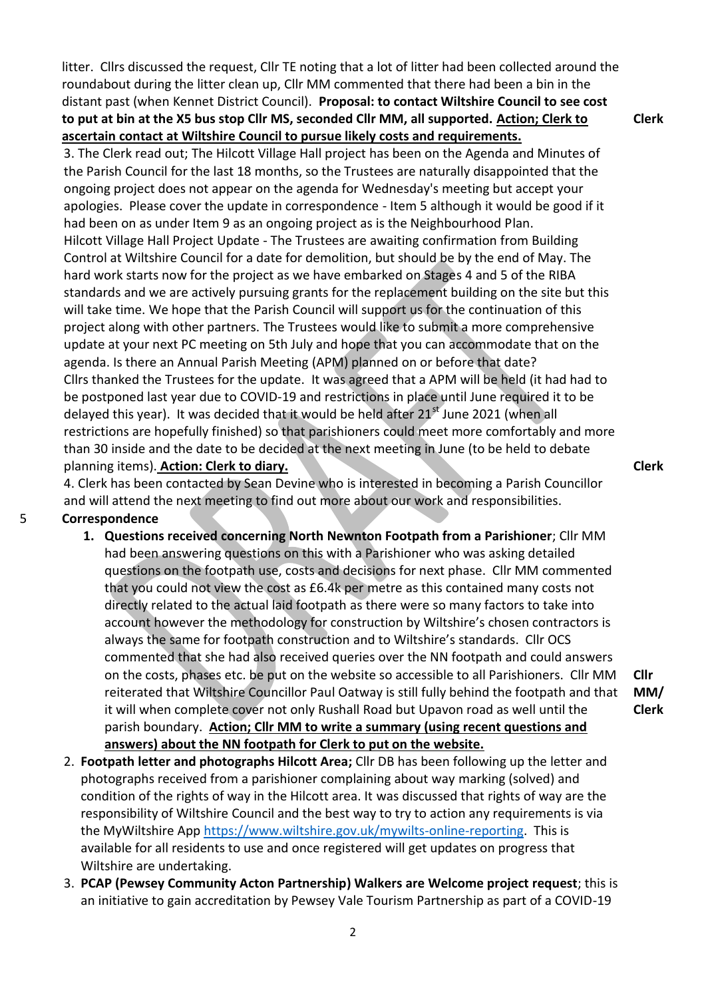litter. Cllrs discussed the request, Cllr TE noting that a lot of litter had been collected around the roundabout during the litter clean up, Cllr MM commented that there had been a bin in the distant past (when Kennet District Council). **Proposal: to contact Wiltshire Council to see cost to put at bin at the X5 bus stop Cllr MS, seconded Cllr MM, all supported. Action; Clerk to ascertain contact at Wiltshire Council to pursue likely costs and requirements.**

3. The Clerk read out; The Hilcott Village Hall project has been on the Agenda and Minutes of the Parish Council for the last 18 months, so the Trustees are naturally disappointed that the ongoing project does not appear on the agenda for Wednesday's meeting but accept your apologies. Please cover the update in correspondence - Item 5 although it would be good if it had been on as under Item 9 as an ongoing project as is the Neighbourhood Plan. Hilcott Village Hall Project Update - The Trustees are awaiting confirmation from Building Control at Wiltshire Council for a date for demolition, but should be by the end of May. The hard work starts now for the project as we have embarked on Stages 4 and 5 of the RIBA standards and we are actively pursuing grants for the replacement building on the site but this will take time. We hope that the Parish Council will support us for the continuation of this project along with other partners. The Trustees would like to submit a more comprehensive update at your next PC meeting on 5th July and hope that you can accommodate that on the agenda. Is there an Annual Parish Meeting (APM) planned on or before that date? Cllrs thanked the Trustees for the update. It was agreed that a APM will be held (it had had to be postponed last year due to COVID-19 and restrictions in place until June required it to be delayed this year). It was decided that it would be held after  $21<sup>st</sup>$  June 2021 (when all restrictions are hopefully finished) so that parishioners could meet more comfortably and more than 30 inside and the date to be decided at the next meeting in June (to be held to debate planning items). **Action: Clerk to diary.**

4. Clerk has been contacted by Sean Devine who is interested in becoming a Parish Councillor and will attend the next meeting to find out more about our work and responsibilities.

### 5 **Correspondence**

- **1. Questions received concerning North Newnton Footpath from a Parishioner**; Cllr MM had been answering questions on this with a Parishioner who was asking detailed questions on the footpath use, costs and decisions for next phase. Cllr MM commented that you could not view the cost as £6.4k per metre as this contained many costs not directly related to the actual laid footpath as there were so many factors to take into account however the methodology for construction by Wiltshire's chosen contractors is always the same for footpath construction and to Wiltshire's standards. Cllr OCS commented that she had also received queries over the NN footpath and could answers on the costs, phases etc. be put on the website so accessible to all Parishioners. Cllr MM reiterated that Wiltshire Councillor Paul Oatway is still fully behind the footpath and that it will when complete cover not only Rushall Road but Upavon road as well until the parish boundary. **Action; Cllr MM to write a summary (using recent questions and answers) about the NN footpath for Clerk to put on the website.**
- 2. **Footpath letter and photographs Hilcott Area;** Cllr DB has been following up the letter and photographs received from a parishioner complaining about way marking (solved) and condition of the rights of way in the Hilcott area. It was discussed that rights of way are the responsibility of Wiltshire Council and the best way to try to action any requirements is via the MyWiltshire App [https://www.wiltshire.gov.uk/mywilts-online-reporting.](https://www.wiltshire.gov.uk/mywilts-online-reporting) This is available for all residents to use and once registered will get updates on progress that Wiltshire are undertaking.
- 3. **PCAP (Pewsey Community Acton Partnership) Walkers are Welcome project request**; this is an initiative to gain accreditation by Pewsey Vale Tourism Partnership as part of a COVID-19

**Clerk**

**Clerk**

**Cllr MM/ Clerk**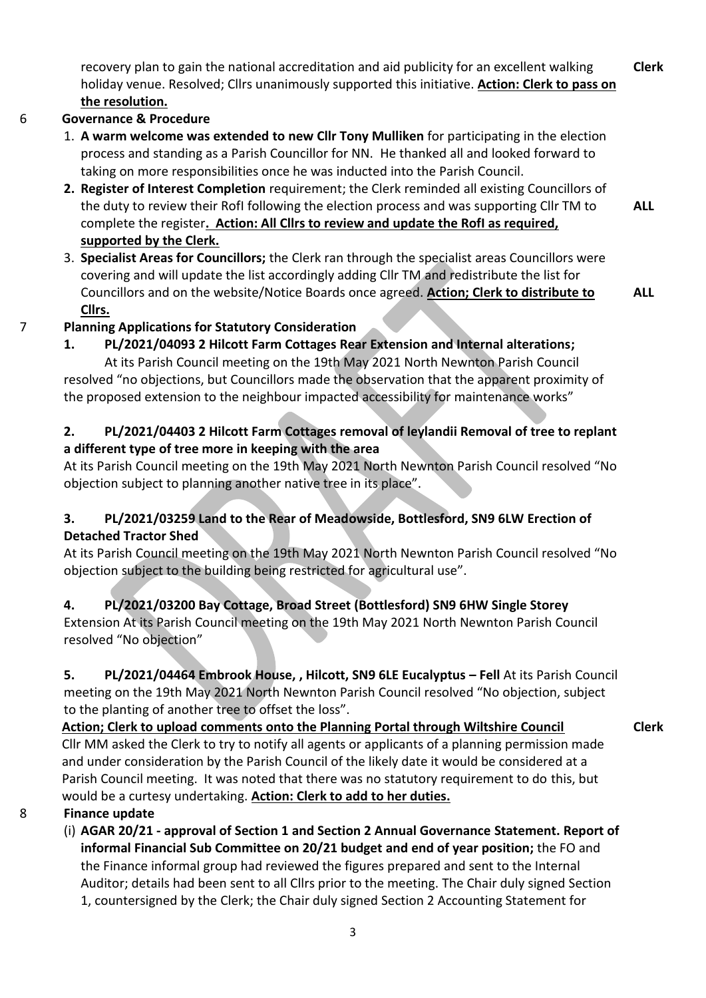recovery plan to gain the national accreditation and aid publicity for an excellent walking holiday venue. Resolved; Cllrs unanimously supported this initiative. **Action: Clerk to pass on the resolution. Clerk**

# 6 **Governance & Procedure**

- 1. **A warm welcome was extended to new Cllr Tony Mulliken** for participating in the election process and standing as a Parish Councillor for NN. He thanked all and looked forward to taking on more responsibilities once he was inducted into the Parish Council.
- **2. Register of Interest Completion** requirement; the Clerk reminded all existing Councillors of the duty to review their RofI following the election process and was supporting Cllr TM to complete the register**. Action: All Cllrs to review and update the RofI as required, supported by the Clerk.**
- 3. **Specialist Areas for Councillors;** the Clerk ran through the specialist areas Councillors were covering and will update the list accordingly adding Cllr TM and redistribute the list for Councillors and on the website/Notice Boards once agreed. **Action; Clerk to distribute to Cllrs. ALL**

# 7 **Planning Applications for Statutory Consideration**

**1. PL/2021/04093 2 Hilcott Farm Cottages Rear Extension and Internal alterations;**

At its Parish Council meeting on the 19th May 2021 North Newnton Parish Council resolved "no objections, but Councillors made the observation that the apparent proximity of the proposed extension to the neighbour impacted accessibility for maintenance works"

**2. PL/2021/04403 2 Hilcott Farm Cottages removal of leylandii Removal of tree to replant a different type of tree more in keeping with the area** 

At its Parish Council meeting on the 19th May 2021 North Newnton Parish Council resolved "No objection subject to planning another native tree in its place".

# **3. PL/2021/03259 Land to the Rear of Meadowside, Bottlesford, SN9 6LW Erection of Detached Tractor Shed**

At its Parish Council meeting on the 19th May 2021 North Newnton Parish Council resolved "No objection subject to the building being restricted for agricultural use".

# **4. PL/2021/03200 Bay Cottage, Broad Street (Bottlesford) SN9 6HW Single Storey**

Extension At its Parish Council meeting on the 19th May 2021 North Newnton Parish Council resolved "No objection"

**5. PL/2021/04464 Embrook House, , Hilcott, SN9 6LE Eucalyptus – Fell** At its Parish Council meeting on the 19th May 2021 North Newnton Parish Council resolved "No objection, subject to the planting of another tree to offset the loss".

## **Action; Clerk to upload comments onto the Planning Portal through Wiltshire Council**

**Clerk**

**ALL**

Cllr MM asked the Clerk to try to notify all agents or applicants of a planning permission made and under consideration by the Parish Council of the likely date it would be considered at a Parish Council meeting. It was noted that there was no statutory requirement to do this, but would be a curtesy undertaking. **Action: Clerk to add to her duties.**

## 8 **Finance update**

(i) **AGAR 20/21 - approval of Section 1 and Section 2 Annual Governance Statement. Report of informal Financial Sub Committee on 20/21 budget and end of year position;** the FO and the Finance informal group had reviewed the figures prepared and sent to the Internal Auditor; details had been sent to all Cllrs prior to the meeting. The Chair duly signed Section 1, countersigned by the Clerk; the Chair duly signed Section 2 Accounting Statement for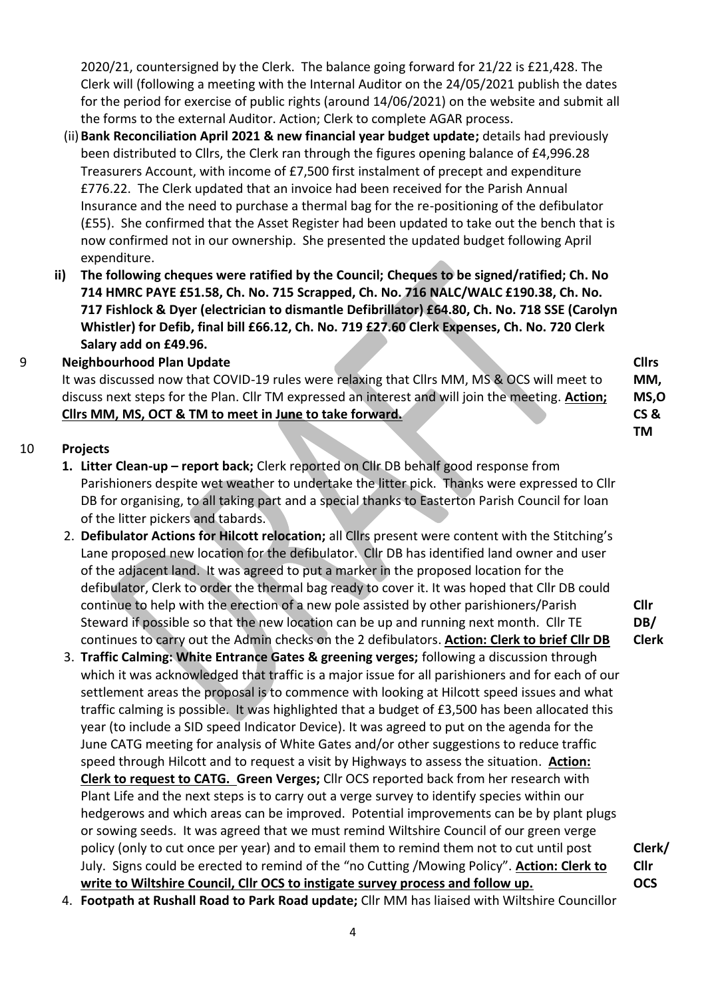2020/21, countersigned by the Clerk. The balance going forward for 21/22 is £21,428. The Clerk will (following a meeting with the Internal Auditor on the 24/05/2021 publish the dates for the period for exercise of public rights (around 14/06/2021) on the website and submit all the forms to the external Auditor. Action; Clerk to complete AGAR process.

- (ii)**Bank Reconciliation April 2021 & new financial year budget update;** details had previously been distributed to Cllrs, the Clerk ran through the figures opening balance of £4,996.28 Treasurers Account, with income of £7,500 first instalment of precept and expenditure £776.22. The Clerk updated that an invoice had been received for the Parish Annual Insurance and the need to purchase a thermal bag for the re-positioning of the defibulator (£55). She confirmed that the Asset Register had been updated to take out the bench that is now confirmed not in our ownership. She presented the updated budget following April expenditure.
- **(iii) The following cheques were ratified by the Council; Cheques to be signed/ratified; Ch. No 714 HMRC PAYE £51.58, Ch. No. 715 Scrapped, Ch. No. 716 NALC/WALC £190.38, Ch. No. 717 Fishlock & Dyer (electrician to dismantle Defibrillator) £64.80, Ch. No. 718 SSE (Carolyn Whistler) for Defib, final bill £66.12, Ch. No. 719 £27.60 Clerk Expenses, Ch. No. 720 Clerk Salary add on £49.96.**

### 9 **Neighbourhood Plan Update**

It was discussed now that COVID-19 rules were relaxing that Cllrs MM, MS & OCS will meet to discuss next steps for the Plan. Cllr TM expressed an interest and will join the meeting. **Action; Cllrs MM, MS, OCT & TM to meet in June to take forward.**

#### 10 **Projects**

- **1. Litter Clean-up – report back;** Clerk reported on Cllr DB behalf good response from Parishioners despite wet weather to undertake the litter pick. Thanks were expressed to Cllr DB for organising, to all taking part and a special thanks to Easterton Parish Council for loan of the litter pickers and tabards.
- 2. **Defibulator Actions for Hilcott relocation;** all Cllrs present were content with the Stitching's Lane proposed new location for the defibulator. Cllr DB has identified land owner and user of the adjacent land. It was agreed to put a marker in the proposed location for the defibulator, Clerk to order the thermal bag ready to cover it. It was hoped that Cllr DB could continue to help with the erection of a new pole assisted by other parishioners/Parish Steward if possible so that the new location can be up and running next month. Cllr TE continues to carry out the Admin checks on the 2 defibulators. **Action: Clerk to brief Cllr DB**
- 3. **Traffic Calming: White Entrance Gates & greening verges;** following a discussion through which it was acknowledged that traffic is a major issue for all parishioners and for each of our settlement areas the proposal is to commence with looking at Hilcott speed issues and what traffic calming is possible. It was highlighted that a budget of £3,500 has been allocated this year (to include a SID speed Indicator Device). It was agreed to put on the agenda for the June CATG meeting for analysis of White Gates and/or other suggestions to reduce traffic speed through Hilcott and to request a visit by Highways to assess the situation. **Action: Clerk to request to CATG. Green Verges;** Cllr OCS reported back from her research with Plant Life and the next steps is to carry out a verge survey to identify species within our hedgerows and which areas can be improved. Potential improvements can be by plant plugs or sowing seeds. It was agreed that we must remind Wiltshire Council of our green verge policy (only to cut once per year) and to email them to remind them not to cut until post July. Signs could be erected to remind of the "no Cutting /Mowing Policy". **Action: Clerk to write to Wiltshire Council, Cllr OCS to instigate survey process and follow up.**
- 4. **Footpath at Rushall Road to Park Road update;** Cllr MM has liaised with Wiltshire Councillor

4

**Cllrs MM, MS,O CS & TM**

**Cllr DB/ Clerk**

**Clerk/ Cllr OCS**